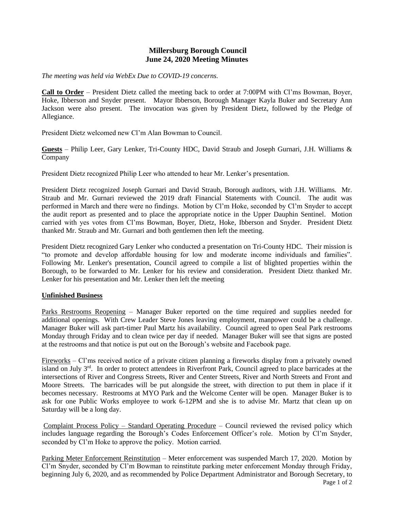## **Millersburg Borough Council June 24, 2020 Meeting Minutes**

*The meeting was held via WebEx Due to COVID-19 concerns.*

**Call to Order** – President Dietz called the meeting back to order at 7:00PM with Cl'ms Bowman, Boyer, Hoke, Ibberson and Snyder present. Mayor Ibberson, Borough Manager Kayla Buker and Secretary Ann Jackson were also present. The invocation was given by President Dietz, followed by the Pledge of Allegiance.

President Dietz welcomed new Cl'm Alan Bowman to Council.

**Guests** – Philip Leer, Gary Lenker, Tri-County HDC, David Straub and Joseph Gurnari, J.H. Williams & Company

President Dietz recognized Philip Leer who attended to hear Mr. Lenker's presentation.

President Dietz recognized Joseph Gurnari and David Straub, Borough auditors, with J.H. Williams. Mr. Straub and Mr. Gurnari reviewed the 2019 draft Financial Statements with Council. The audit was performed in March and there were no findings. Motion by Cl'm Hoke, seconded by Cl'm Snyder to accept the audit report as presented and to place the appropriate notice in the Upper Dauphin Sentinel. Motion carried with yes votes from Cl'ms Bowman, Boyer, Dietz, Hoke, Ibberson and Snyder. President Dietz thanked Mr. Straub and Mr. Gurnari and both gentlemen then left the meeting.

President Dietz recognized Gary Lenker who conducted a presentation on Tri-County HDC. Their mission is "to promote and develop affordable housing for low and moderate income individuals and families". Following Mr. Lenker's presentation, Council agreed to compile a list of blighted properties within the Borough, to be forwarded to Mr. Lenker for his review and consideration. President Dietz thanked Mr. Lenker for his presentation and Mr. Lenker then left the meeting

## **Unfinished Business**

Parks Restrooms Reopening – Manager Buker reported on the time required and supplies needed for additional openings. With Crew Leader Steve Jones leaving employment, manpower could be a challenge. Manager Buker will ask part-timer Paul Martz his availability. Council agreed to open Seal Park restrooms Monday through Friday and to clean twice per day if needed. Manager Buker will see that signs are posted at the restrooms and that notice is put out on the Borough's website and Facebook page.

Fireworks – Cl'ms received notice of a private citizen planning a fireworks display from a privately owned island on July 3rd. In order to protect attendees in Riverfront Park, Council agreed to place barricades at the intersections of River and Congress Streets, River and Center Streets, River and North Streets and Front and Moore Streets. The barricades will be put alongside the street, with direction to put them in place if it becomes necessary. Restrooms at MYO Park and the Welcome Center will be open. Manager Buker is to ask for one Public Works employee to work 6-12PM and she is to advise Mr. Martz that clean up on Saturday will be a long day.

Complaint Process Policy – Standard Operating Procedure – Council reviewed the revised policy which includes language regarding the Borough's Codes Enforcement Officer's role. Motion by Cl'm Snyder, seconded by Cl'm Hoke to approve the policy. Motion carried.

Page 1 of 2 Parking Meter Enforcement Reinstitution – Meter enforcement was suspended March 17, 2020. Motion by Cl'm Snyder, seconded by Cl'm Bowman to reinstitute parking meter enforcement Monday through Friday, beginning July 6, 2020, and as recommended by Police Department Administrator and Borough Secretary, to